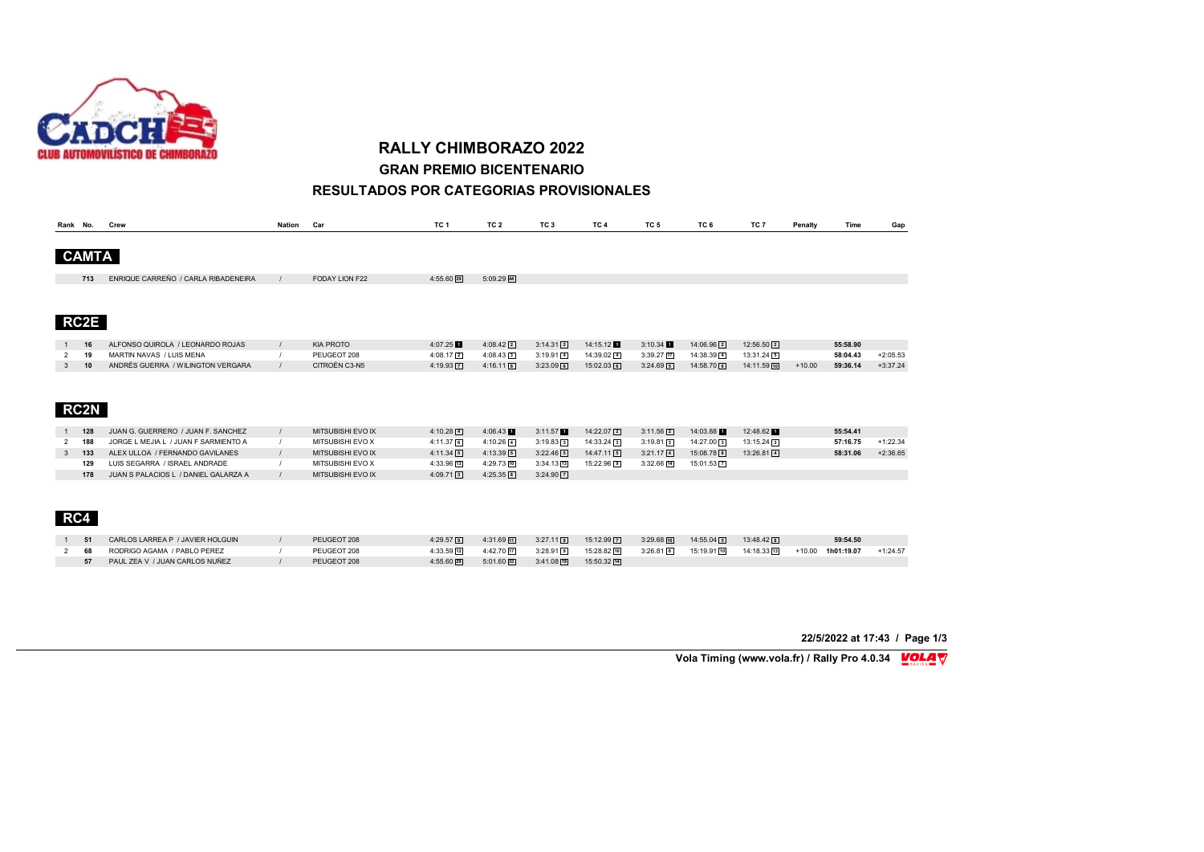

**RALLY CHIMBORAZO 2022 GRAN PREMIO BICENTENARIO**

#### **RESULTADOS POR CATEGORIAS PROVISIONALES**

| Rank No.       |            | Crew                                 | <b>Nation</b> | Car                                   | TC <sub>1</sub>       | TC <sub>2</sub> | TC <sub>3</sub>       | TC <sub>4</sub> | TC <sub>5</sub>        | TC 6         | TC 7         | Penalty  | Time       | Gap        |
|----------------|------------|--------------------------------------|---------------|---------------------------------------|-----------------------|-----------------|-----------------------|-----------------|------------------------|--------------|--------------|----------|------------|------------|
|                |            |                                      |               |                                       |                       |                 |                       |                 |                        |              |              |          |            |            |
| <b>CAMTA</b>   |            |                                      |               |                                       |                       |                 |                       |                 |                        |              |              |          |            |            |
|                |            |                                      |               |                                       |                       |                 |                       |                 |                        |              |              |          |            |            |
|                | 713        | ENRIQUE CARREÑO / CARLA RIBADENEIRA  |               | FODAY LION F22                        | 4:55.60 29            | $5:09.29$ 44    |                       |                 |                        |              |              |          |            |            |
|                |            |                                      |               |                                       |                       |                 |                       |                 |                        |              |              |          |            |            |
|                |            |                                      |               |                                       |                       |                 |                       |                 |                        |              |              |          |            |            |
| <b>RC2E</b>    |            |                                      |               |                                       |                       |                 |                       |                 |                        |              |              |          |            |            |
|                | 16         | ALFONSO QUIROLA / LEONARDO ROJAS     |               | <b>KIA PROTO</b>                      | 4:07.25               | $4:08.42$ 2     | $3:14.31$ 2           | 14:15.12        | 3:10.34                | 14:06.96 2   | $12:56.50$ 2 |          | 55:58.90   |            |
| 2              | 19         | MARTIN NAVAS / LUIS MENA             |               | PEUGEOT 208                           | $4:08.17$ 2           | $4:08.43$ 3     | $3:19.91$ 4           | 14:39.02 4      | $3:39.27$ [17]         | 14:38.39 4   | $13:31.24$ 5 |          | 58:04.43   | $+2:05.53$ |
| 3              | 10         | ANDRÉS GUERRA / WILINGTON VERGARA    |               | CITROÉN C3-N5                         | $4:19.93$ $\boxed{7}$ | $4:16.11$ 6     | $3:23.09$ 6           | $15:02.03$ 6    | $3:24.69$ 5            | 14:58.70 6   | 14:11.59 10  | $+10.00$ | 59:36.14   | $+3:37.24$ |
|                |            |                                      |               |                                       |                       |                 |                       |                 |                        |              |              |          |            |            |
|                |            |                                      |               |                                       |                       |                 |                       |                 |                        |              |              |          |            |            |
|                |            |                                      |               |                                       |                       |                 |                       |                 |                        |              |              |          |            |            |
| <b>RC2N</b>    |            |                                      |               |                                       |                       |                 |                       |                 |                        |              |              |          |            |            |
|                | 128        | JUAN G. GUERRERO / JUAN F. SANCHEZ   |               | MITSUBISHI EVO IX                     | $4:10.28$ 4           | 4:06.43         | 3:11.57               | $14:22.07$ 2    | $3:11.56$ <sup>2</sup> | 14:03.88     | 12:48.62     |          | 55:54.41   |            |
|                | 188        | JORGE L MEJIA L / JUAN F SARMIENTO A |               |                                       |                       |                 |                       |                 |                        |              |              |          | 57:16.75   |            |
| $\overline{2}$ |            | ALEX ULLOA / FERNANDO GAVILANES      |               | MITSUBISHI EVO X<br>MITSUBISHI EVO IX | $4:11.37$ 6           | $4:10.26$ 4     | $3:19.83$ 3           | $14:33.24$ 3    | $3:19.81$ 3            | 14:27.00 3   | $13:15.24$ 3 |          |            | $+1:22.34$ |
| 3              | 133<br>129 | LUIS SEGARRA / ISRAEL ANDRADE        |               | MITSUBISHI EVO X                      | $4:11.34$ 5           | $4:13.39$ 5     | $3:22.46$ 5           | $14:47.11$ 5    | $3:21.17$ [4]          | 15:08.78 8   | $13:26.81$ 4 |          | 58:31.06   | $+2:36.65$ |
|                |            |                                      |               |                                       | 4:33.96 13            | 4:29.73 10      | $3:34.13$ [13]        | 15:22.96 9      | $3:32.66$ [14]         | 15:01.53 7   |              |          |            |            |
|                | 178        | JUAN S PALACIOS L / DANIEL GALARZA A |               | MITSUBISHI EVO IX                     | $4:09.71$ 3           | $4:25.35$ 8     | $3:24.90$ $\boxed{7}$ |                 |                        |              |              |          |            |            |
|                |            |                                      |               |                                       |                       |                 |                       |                 |                        |              |              |          |            |            |
|                |            |                                      |               |                                       |                       |                 |                       |                 |                        |              |              |          |            |            |
| RC4            |            |                                      |               |                                       |                       |                 |                       |                 |                        |              |              |          |            |            |
|                |            |                                      |               |                                       |                       |                 |                       |                 |                        |              |              |          |            |            |
|                | 51         | CARLOS LARREA P / JAVIER HOLGUIN     |               | PEUGEOT 208                           | $4:29.57$ 9           | $4:31.69$ 11    | $3:27.11$ 8           | 15:12.99 7      | $3:29.68$ 10           | $14:55.04$ 5 | $13:48.42$ 8 |          | 59:54.50   |            |
| 2              | 68         | RODRIGO AGAMA / PABLO PEREZ          |               | PEUGEOT 208                           | 4:33.59 12            | 4:42.70 17      | $3:28.91$ 9           | 15:28.82 10     | $3:26.81$ 6            | 15:19.91 10  | 14:18.33 13  | $+10.00$ | 1h01:19.07 | $+1:24.57$ |
|                | 57         | PAUL ZEA V / JUAN CARLOS NUÑEZ       |               | PEUGEOT 208                           | 4:55.60 29            | $5:01.60$ 33    | $3:41.08$ 19          | 15:50.32 14     |                        |              |              |          |            |            |

**22/5/2022 at 17:43 / Page 1/3**

**Vola Timing (www.vola.fr) / Rally Pro 4.0.34 MOLA** V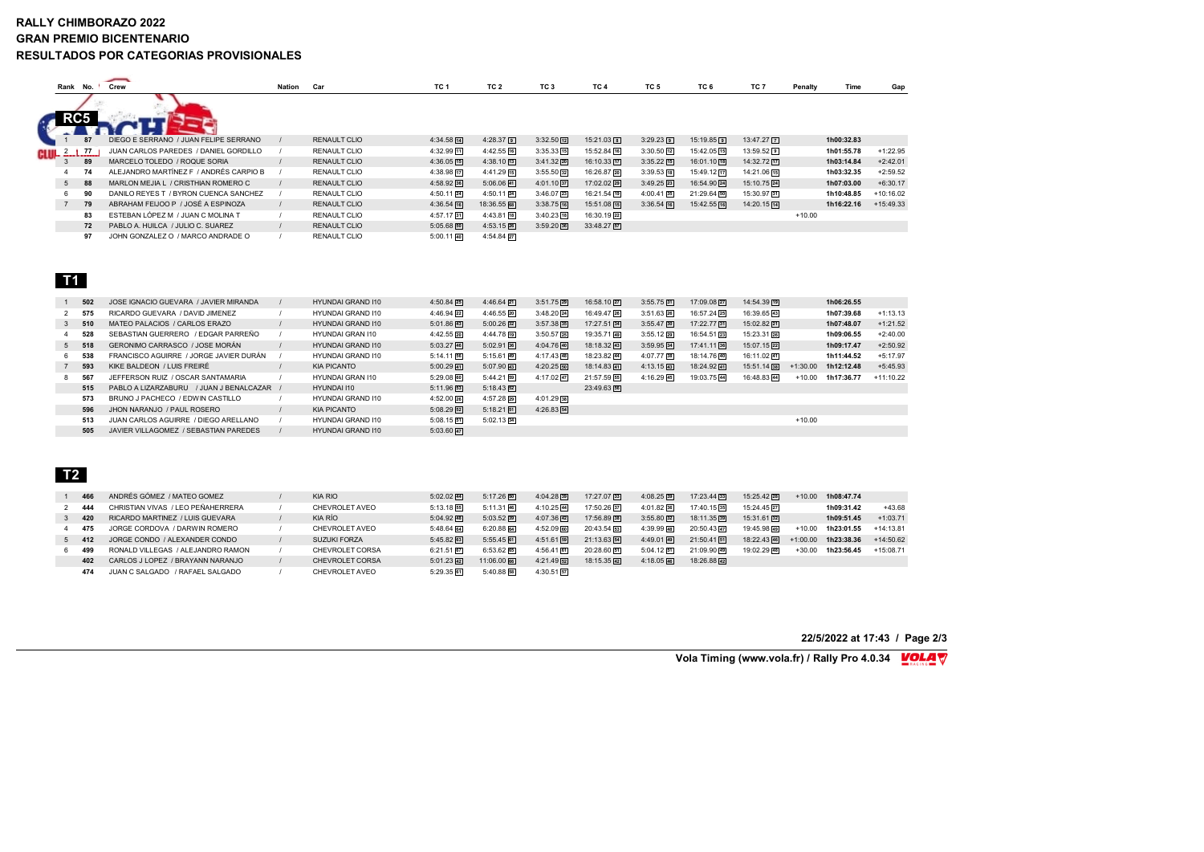#### **RALLY CHIMBORAZO 2022 GRAN PREMIO BICENTENARIO RESULTADOS POR CATEGORIAS PROVISIONALES**

|                 |     | 一                                      |               |                     |                 |                 |                        |                 |                        |                 |                 |          |            |             |
|-----------------|-----|----------------------------------------|---------------|---------------------|-----------------|-----------------|------------------------|-----------------|------------------------|-----------------|-----------------|----------|------------|-------------|
| Rank No.        |     | Crew                                   | <b>Nation</b> | Car                 | TC <sub>1</sub> | TC <sub>2</sub> | TC <sub>3</sub>        | TC <sub>4</sub> | TC <sub>5</sub>        | TC <sub>6</sub> | TC <sub>7</sub> | Penalty  | Time       | Gap         |
| RC <sub>5</sub> |     |                                        |               |                     |                 |                 |                        |                 |                        |                 |                 |          |            |             |
|                 | 87  | DIEGO E SERRANO / JUAN FELIPE SERRANO  |               | <b>RENAULT CLIO</b> | 4:34.58 14      | $4:28.37$ 9     | $3:32.50$ $\boxed{12}$ | $15:21.03$ 8    | $3:29.23$ 9            | $15:19.85$ 9    | 13:47.27 7      |          | 1h00:32.83 |             |
| <sup>2</sup> 1  | -77 | JUAN CARLOS PAREDES / DANIEL GORDILLO  |               | RENAULT CLIO        | 4:32.99 11      | $4:42.55$ 16    | $3:35.33$ [15]         | 15:52.84 16     | $3:30.50$ $\boxed{12}$ | 15:42.05 15     | $13:59.52$ 9    |          | 1h01:55.78 | $+1:22.95$  |
| 3               | 89  | MARCELO TOLEDO / ROQUE SORIA           |               | RENAULT CLIO        | $4:36.05$ [15]  | $4:38.10$ [13]  | $3:41.32$ 20           | 16:10.33 17     | $3:35.22$ [15]         | 16:01.10 [18]   | 14:32.72 [17]   |          | 1h03:14.84 | $+2:42.01$  |
|                 | 74  | ALEJANDRO MARTÍNEZ E / ANDRÉS CARPIO B |               | RENAULT CLIO        | 4:38.98 17      | $4:41.29$ 15    | $3:55.50$ 32           | 16:26.87 20     | $3:39.53$ [18]         | 15:49.12 17     | 14:21.06 15     |          | 1h03:32.35 | $+2:59.52$  |
| 5 <sup>5</sup>  | 88  | MARLON MEJIA L / CRISTHIAN ROMERO C    |               | RENAULT CLIO        | $4:58.92$ 36    | $5:06.06$ 41    | $4:01.10$ 37           | 17:02.02 29     | $3:49.25$ 23           | 16:54.90 24     | 15:10.75 24     |          | 1h07:03.00 | $+6:30.17$  |
| 6.              | 90  | DANILO REYES T / BYRON CUENCA SANCHEZ  |               | RENAULT CLIO        | $4:50.11$ 24    | $4:50.11$ 24    | $3:46.07$ 23           | 16:21.54 19     | $4:00.41$ 35           | 21:29.64 50     | 15:30.97 31     |          | 1h10:48.85 | $+10:16.02$ |
| $\overline{7}$  | 79  | ABRAHAM FEIJOO P / JOSÉ A ESPINOZA     |               | RENAULT CLIO        | $4:36.54$ [16]  | 18:36.55 68     | $3:38.75$ [16]         | 15:51.08 15     | $3:36.54$ [16]         | 15:42.55 16     | 14:20.15 14     |          | 1h16:22.16 | $+15:49.33$ |
|                 | 83  | ESTEBAN LÓPEZ M / JUAN C MOLINA T      |               | RENAULT CLIO        | 4:57.17 31      | $4:43.81$ 18    | $3:40.23$ [18]         | 16:30.19 22     |                        |                 |                 | $+10.00$ |            |             |
|                 | 72  | PABLO A. HUILCA / JULIO C. SUAREZ      |               | RENAULT CLIO        | $5:05.68$ 50    | $4:53.15$ 26    | 3:59.20 36             | $33:48.27$ 57   |                        |                 |                 |          |            |             |
|                 | 97  | JOHN GONZALEZ O / MARCO ANDRADE O      |               | RENAULT CLIO        | $5:00.11$ 40    | 4:54.84 27      |                        |                 |                        |                 |                 |          |            |             |

### **T1**

|   | 502     | JOSE IGNACIO GUEVARA / JAVIER MIRANDA   | <b>HYUNDAI GRAND I10</b> | $4:50.84$ <sup>25</sup>   | $4:46.64$ 21            | $3:51.75$ <sup>29</sup> | 16:58.10 27   | $3:55.75$ 31            | 17:09.08 27 | 14:54.39 19 |            | 1h06:26.55 |             |
|---|---------|-----------------------------------------|--------------------------|---------------------------|-------------------------|-------------------------|---------------|-------------------------|-------------|-------------|------------|------------|-------------|
|   | 575     | RICARDO GUEVARA / DAVID JIMENEZ         | HYUNDAI GRAND I10        | $4:46.94$ <sup>22</sup>   | $4:46.55$ <sup>20</sup> | $3:48.20$ 24            | 16:49.47 26   | $3:51.63$ 26            | 16:57.24 25 | 16:39.65 43 |            | 1h07:39.68 | $+1:13.13$  |
|   | 3, 510  | MATEO PALACIOS / CARLOS ERAZO           | <b>HYUNDAI GRAND I10</b> | $5:01.86$ 43              | $5:00.26$ 32            | $3:57.38$ <sub>35</sub> | 17:27.51 34   | $3:55.47$ 30            | 17:22.77 31 | 15:02.82 21 |            | 1h07:48.07 | $+1:21.52$  |
| 4 | 528     | SEBASTIAN GUERRERO / FDGAR PARREÑO      | HYUNDAI GRAN I10         | 4:42.55 20                | $4:44.78$ <sup>19</sup> | $3:50.57$ <sup>25</sup> | 19:35.71 49   | $3:55.12$ 29            | 16:54.51 23 | 15:23.31 26 |            | 1h09:06.55 | $+2:40.00$  |
|   | $5$ 518 | GERONIMO CARRASCO / JOSE MORÁN          | <b>HYUNDAI GRAND I10</b> | $5:03.27$ 46              | $5:02.91$ 36            | $4:04.76$ 40            | $18:18.32$ 43 | $3:59.95$ 34            | 17:41.11 36 | 15:07.15 22 |            | 1h09:17.47 | $+2:50.92$  |
| 6 | 538     | FRANCISCO AGUIRRE / JORGE JAVIER DURÁN  | HYUNDAI GRAND I10        | $5:14.11$ 56              | $5:15.61$ 49            | $4:17.43$ 48            | 18:23.82 44   | 4:07.77 38              | 18:14.76 40 | 16:11.02 41 |            | 1h11:44.52 | $+5:17.97$  |
|   | 593     | KIKE BALDEON / LUIS FREIRÉ              | <b>KIA PICANTO</b>       | $5:00.29$ 41              | $5:07.90$ 43            | $4:20.25$ 50            | 18:14.83 41   | $4:13.15$ <sup>43</sup> | 18:24.92 41 | 15:51.14 38 | $+1:30.00$ | 1h12:12.48 | $+5:45.93$  |
| 8 | 567     | JEFFERSON RUIZ / OSCAR SANTAMARIA       | HYUNDAI GRAN I10         | $5:29.08$ 60              | $5:44.21$ 59            | $4:17.02$ 47            | 21:57.59 55   | $4:16.29$ 45            | 19:03.75 44 | 16:48.83 44 | $+10.00$   | 1h17:36.77 | $+11:10.22$ |
|   | 515     | PABLO A LIZARZABURU / JUAN J BENALCAZAR | HYUNDAI I10              | $5:11.96$ 53              | $5:18.43$ 52            |                         | 23:49.63 56   |                         |             |             |            |            |             |
|   | 573     | BRUNO J PACHECO / FDWIN CASTILLO        | HYUNDAI GRAND I10        | 4:52.00 26                | 4:57.28 29              | $4:01.29$ 38            |               |                         |             |             |            |            |             |
|   | 596     | JHON NARANJO / PAUL ROSERO              | <b>KIA PICANTO</b>       | $5:08.29$ 52              | $5:18.21$ 51            | $4:26.83$ 54            |               |                         |             |             |            |            |             |
|   | 513     | JUAN CARLOS AGUIRRE / DIEGO ARELLANO    | HYUNDAI GRAND I10        | $5:08.15$ 51              | $5:02.13$ 34            |                         |               |                         |             |             | $+10.00$   |            |             |
|   | 505     | JAVIER VILLAGOMEZ / SEBASTIAN PAREDES   | <b>HYUNDAI GRAND I10</b> | $5:03.60$ $\overline{47}$ |                         |                         |               |                         |             |             |            |            |             |
|   |         |                                         |                          |                           |                         |                         |               |                         |             |             |            |            |             |

# **T2**

|     | ANDRÉS GÓMEZ / MATEO GOMEZ        | <b>KIA RIO</b>      | $5:02.02$ 44 | $5:17.26$ 50   | $4:04.28$ <sub>39</sub> | 17:27.07 33   | $4:08.25$ 39 | $17:23.44$ 33 | 15:25.42 28   | $+10.00$   | 1h08:47.74 |             |
|-----|-----------------------------------|---------------------|--------------|----------------|-------------------------|---------------|--------------|---------------|---------------|------------|------------|-------------|
|     | CHRISTIAN VIVAS / LEO PEÑAHERRERA | CHEVROLET AVEO      | $5:13.18$ 55 | $5:11.31$ 46   | 4:10.25 44              | 17:50.26 37   | $4:01.82$ 36 | 17:40.15 35   | 15:24.45 27   |            | 1h09:31.42 | $+43.68$    |
| 420 | RICARDO MARTINEZ / LUIS GUEVARA   | KIA RÍO             | $5:04.92$ 48 | 5:03.52 39     | $4:07.36$ <sup>42</sup> | 17:56.89 38   | $3:55.80$ 32 | 18:11.35 39   | $15:31.61$ 32 |            | 1h09:51.45 | $+1:03.71$  |
| 475 | JORGE CORDOVA / DARWIN ROMERO     | CHEVROLET AVEO      | $5:48.64$ 64 | $6:20.88$ $64$ | $4:52.09$ 60            | $20:43.54$ 53 | $4:39.99$ 48 | 20:50.43      | 19:45.98 49   | $+10.00$   | 1h23:01.55 | $+14:13.81$ |
| 412 | JORGE CONDO / ALEXANDER CONDO     | <b>SUZUKI FORZA</b> | $5:45.82$ 63 | $5:55.45$ 61   | $4:51.61$ [59]          | $21:13.63$ 54 | $4:49.01$ 49 | 21:50.41 51   | 18:22.43 46   | $+1:00.00$ | 1h23:38.36 | $+14:50.62$ |
| 499 | RONALD VILLEGAS / ALEJANDRO RAMON | CHEVROLET CORSA     | $6:21.51$ 67 | 6:53.62 65     | $4:56.41$ 61            | 20:28.60 51   | $5:04.12$ 51 | 21:09.90 49   | 19:02.29 48   | $+30.00$   | 1h23:56.45 | $+15:08.71$ |
| 402 | CARLOS J LOPEZ / BRAYANN NARANJO  | CHEVROLET CORSA     | $5:01.23$ 42 | 11:06.00 66    | $4:21.49$ 52            | 18:15.35 42   | $4:18.05$ 46 | 18:26.88 42   |               |            |            |             |
| 474 | JUAN C SALGADO / RAFAEL SALGADO   | CHEVROLET AVEO      | 5:29.35 61   | $5:40.88$ 58   | $4:30.51$ 57            |               |              |               |               |            |            |             |

#### **22/5/2022 at 17:43 / Page 2/3**

**Vola Timing (www.vola.fr) / Rally Pro 4.0.34 MOLA** V